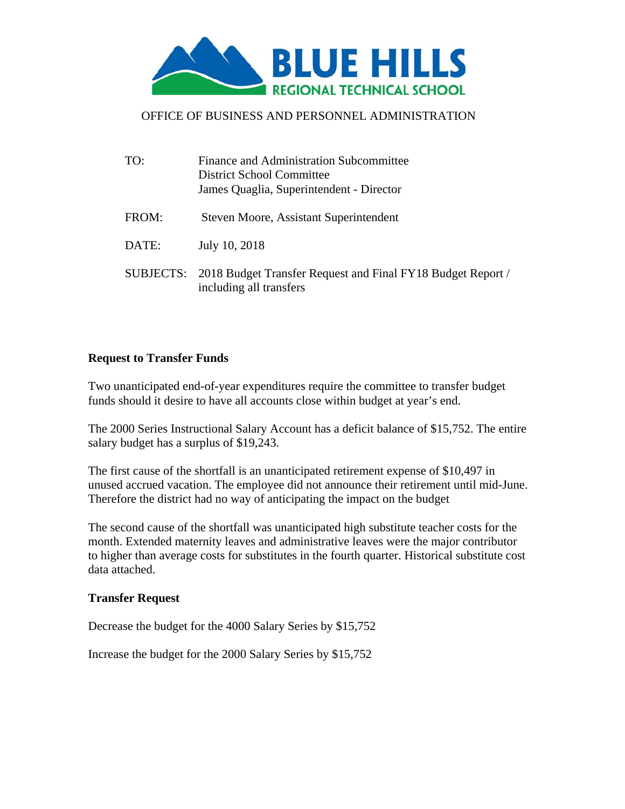

## OFFICE OF BUSINESS AND PERSONNEL ADMINISTRATION

| TO:   | Finance and Administration Subcommittee<br>District School Committee<br>James Quaglia, Superintendent - Director |  |  |  |  |
|-------|------------------------------------------------------------------------------------------------------------------|--|--|--|--|
| FROM: | Steven Moore, Assistant Superintendent                                                                           |  |  |  |  |
| DATE: | July 10, 2018                                                                                                    |  |  |  |  |
|       | SUBJECTS: 2018 Budget Transfer Request and Final FY18 Budget Report /<br>including all transfers                 |  |  |  |  |

## **Request to Transfer Funds**

Two unanticipated end-of-year expenditures require the committee to transfer budget funds should it desire to have all accounts close within budget at year's end.

The 2000 Series Instructional Salary Account has a deficit balance of \$15,752. The entire salary budget has a surplus of \$19,243.

The first cause of the shortfall is an unanticipated retirement expense of \$10,497 in unused accrued vacation. The employee did not announce their retirement until mid-June. Therefore the district had no way of anticipating the impact on the budget

The second cause of the shortfall was unanticipated high substitute teacher costs for the month. Extended maternity leaves and administrative leaves were the major contributor to higher than average costs for substitutes in the fourth quarter. Historical substitute cost data attached.

## **Transfer Request**

Decrease the budget for the 4000 Salary Series by \$15,752

Increase the budget for the 2000 Salary Series by \$15,752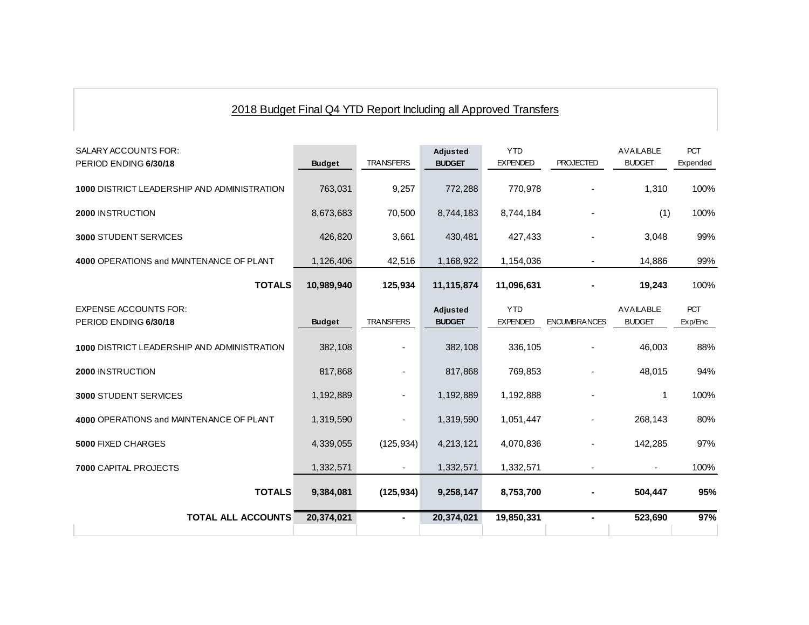## 2018 Budget Final Q4 YTD Report Including all Approved Transfers

| SALARY ACCOUNTS FOR:<br>PERIOD ENDING 6/30/18         | <b>Budget</b> | <b>TRANSFERS</b> | <b>Adjusted</b><br><b>BUDGET</b> | <b>YTD</b><br><b>EXPENDED</b> | <b>PROJECTED</b>         | <b>AVAILABLE</b><br><b>BUDGET</b> | <b>PCT</b><br>Expended |
|-------------------------------------------------------|---------------|------------------|----------------------------------|-------------------------------|--------------------------|-----------------------------------|------------------------|
| 1000 DISTRICT LEADERSHIP AND ADMINISTRATION           | 763,031       | 9,257            | 772,288                          | 770,978                       |                          | 1,310                             | 100%                   |
| <b>2000 INSTRUCTION</b>                               | 8,673,683     | 70,500           | 8,744,183                        | 8,744,184                     |                          | (1)                               | 100%                   |
| <b>3000 STUDENT SERVICES</b>                          | 426,820       | 3,661            | 430,481                          | 427,433                       |                          | 3,048                             | 99%                    |
| 4000 OPERATIONS and MAINTENANCE OF PLANT              | 1,126,406     | 42,516           | 1,168,922                        | 1,154,036                     | $\overline{\phantom{a}}$ | 14,886                            | 99%                    |
| <b>TOTALS</b>                                         | 10,989,940    | 125,934          | 11,115,874                       | 11,096,631                    |                          | 19,243                            | 100%                   |
| <b>EXPENSE ACCOUNTS FOR:</b><br>PERIOD ENDING 6/30/18 | <b>Budget</b> | <b>TRANSFERS</b> | <b>Adjusted</b><br><b>BUDGET</b> | <b>YTD</b><br><b>EXPENDED</b> | <b>ENCUMBRANCES</b>      | AVAILABLE<br><b>BUDGET</b>        | <b>PCT</b><br>Exp/Enc  |
| 1000 DISTRICT LEADERSHIP AND ADMINISTRATION           | 382,108       |                  | 382,108                          | 336,105                       |                          | 46,003                            | 88%                    |
| 2000 INSTRUCTION                                      | 817,868       |                  | 817,868                          | 769,853                       |                          | 48,015                            | 94%                    |
| 3000 STUDENT SERVICES                                 | 1,192,889     |                  | 1,192,889                        | 1,192,888                     |                          | 1                                 | 100%                   |
| 4000 OPERATIONS and MAINTENANCE OF PLANT              | 1,319,590     |                  | 1,319,590                        | 1,051,447                     |                          | 268,143                           | 80%                    |
| 5000 FIXED CHARGES                                    | 4,339,055     | (125, 934)       | 4,213,121                        | 4,070,836                     |                          | 142,285                           | 97%                    |
| 7000 CAPITAL PROJECTS                                 | 1,332,571     | $\blacksquare$   | 1,332,571                        | 1,332,571                     |                          |                                   | 100%                   |
| <b>TOTALS</b>                                         | 9,384,081     | (125, 934)       | 9,258,147                        | 8,753,700                     |                          | 504,447                           | 95%                    |
| <b>TOTAL ALL ACCOUNTS</b>                             | 20,374,021    | $\blacksquare$   | 20,374,021                       | 19,850,331                    |                          | 523,690                           | 97%                    |